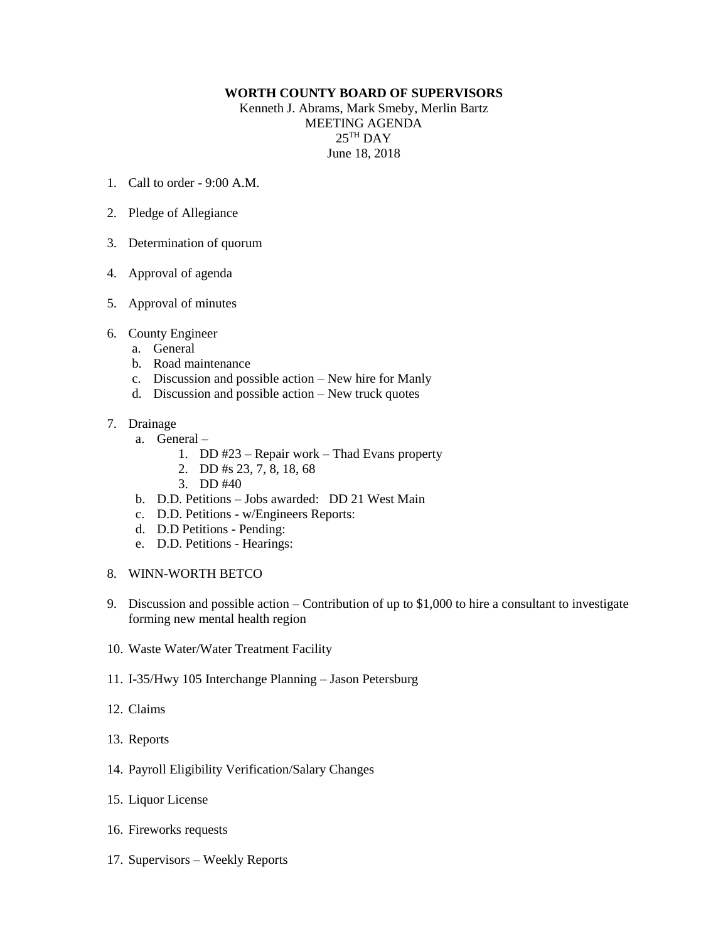## **WORTH COUNTY BOARD OF SUPERVISORS**

Kenneth J. Abrams, Mark Smeby, Merlin Bartz MEETING AGENDA  $25^{\mathrm{TH}}$  DAY June 18, 2018

- 1. Call to order 9:00 A.M.
- 2. Pledge of Allegiance
- 3. Determination of quorum
- 4. Approval of agenda
- 5. Approval of minutes
- 6. County Engineer
	- a. General
	- b. Road maintenance
	- c. Discussion and possible action New hire for Manly
	- d. Discussion and possible action New truck quotes
- 7. Drainage
	- a. General
		- 1. DD #23 Repair work Thad Evans property
		- 2. DD #s 23, 7, 8, 18, 68
		- 3. DD #40
	- b. D.D. Petitions Jobs awarded: DD 21 West Main
	- c. D.D. Petitions w/Engineers Reports:
	- d. D.D Petitions Pending:
	- e. D.D. Petitions Hearings:
- 8. WINN-WORTH BETCO
- 9. Discussion and possible action Contribution of up to \$1,000 to hire a consultant to investigate forming new mental health region
- 10. Waste Water/Water Treatment Facility
- 11. I-35/Hwy 105 Interchange Planning Jason Petersburg
- 12. Claims
- 13. Reports
- 14. Payroll Eligibility Verification/Salary Changes
- 15. Liquor License
- 16. Fireworks requests
- 17. Supervisors Weekly Reports